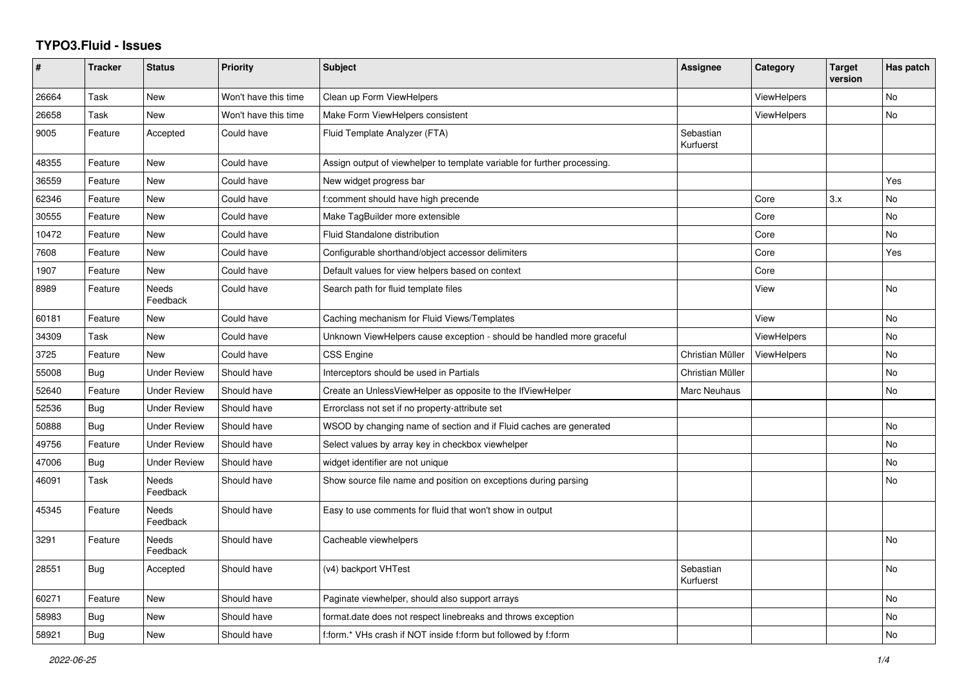## **TYPO3.Fluid - Issues**

| #     | <b>Tracker</b> | <b>Status</b>            | Priority             | Subject                                                                  | Assignee               | Category           | <b>Target</b><br>version | Has patch      |
|-------|----------------|--------------------------|----------------------|--------------------------------------------------------------------------|------------------------|--------------------|--------------------------|----------------|
| 26664 | Task           | <b>New</b>               | Won't have this time | Clean up Form ViewHelpers                                                |                        | ViewHelpers        |                          | N <sub>o</sub> |
| 26658 | Task           | <b>New</b>               | Won't have this time | Make Form ViewHelpers consistent                                         |                        | <b>ViewHelpers</b> |                          | No             |
| 9005  | Feature        | Accepted                 | Could have           | Fluid Template Analyzer (FTA)                                            | Sebastian<br>Kurfuerst |                    |                          |                |
| 48355 | Feature        | New                      | Could have           | Assign output of viewhelper to template variable for further processing. |                        |                    |                          |                |
| 36559 | Feature        | New                      | Could have           | New widget progress bar                                                  |                        |                    |                          | Yes            |
| 62346 | Feature        | <b>New</b>               | Could have           | f:comment should have high precende                                      |                        | Core               | 3.x                      | No             |
| 30555 | Feature        | New                      | Could have           | Make TagBuilder more extensible                                          |                        | Core               |                          | No             |
| 10472 | Feature        | New                      | Could have           | Fluid Standalone distribution                                            |                        | Core               |                          | No             |
| 7608  | Feature        | <b>New</b>               | Could have           | Configurable shorthand/object accessor delimiters                        |                        | Core               |                          | Yes            |
| 1907  | Feature        | <b>New</b>               | Could have           | Default values for view helpers based on context                         |                        | Core               |                          |                |
| 8989  | Feature        | Needs<br>Feedback        | Could have           | Search path for fluid template files                                     |                        | View               |                          | No             |
| 60181 | Feature        | New                      | Could have           | Caching mechanism for Fluid Views/Templates                              |                        | View               |                          | No             |
| 34309 | Task           | New                      | Could have           | Unknown ViewHelpers cause exception - should be handled more graceful    |                        | ViewHelpers        |                          | No             |
| 3725  | Feature        | <b>New</b>               | Could have           | CSS Engine                                                               | Christian Müller       | <b>ViewHelpers</b> |                          | No             |
| 55008 | Bug            | <b>Under Review</b>      | Should have          | Interceptors should be used in Partials                                  | Christian Müller       |                    |                          | No             |
| 52640 | Feature        | <b>Under Review</b>      | Should have          | Create an UnlessViewHelper as opposite to the IfViewHelper               | Marc Neuhaus           |                    |                          | No             |
| 52536 | <b>Bug</b>     | <b>Under Review</b>      | Should have          | Errorclass not set if no property-attribute set                          |                        |                    |                          |                |
| 50888 | Bug            | <b>Under Review</b>      | Should have          | WSOD by changing name of section and if Fluid caches are generated       |                        |                    |                          | No             |
| 49756 | Feature        | <b>Under Review</b>      | Should have          | Select values by array key in checkbox viewhelper                        |                        |                    |                          | <b>No</b>      |
| 47006 | <b>Bug</b>     | <b>Under Review</b>      | Should have          | widget identifier are not unique                                         |                        |                    |                          | No             |
| 46091 | Task           | Needs<br>Feedback        | Should have          | Show source file name and position on exceptions during parsing          |                        |                    |                          | No             |
| 45345 | Feature        | <b>Needs</b><br>Feedback | Should have          | Easy to use comments for fluid that won't show in output                 |                        |                    |                          |                |
| 3291  | Feature        | <b>Needs</b><br>Feedback | Should have          | Cacheable viewhelpers                                                    |                        |                    |                          | No             |
| 28551 | Bug            | Accepted                 | Should have          | (v4) backport VHTest                                                     | Sebastian<br>Kurfuerst |                    |                          | No             |
| 60271 | Feature        | New                      | Should have          | Paginate viewhelper, should also support arrays                          |                        |                    |                          | No             |
| 58983 | <b>Bug</b>     | New                      | Should have          | format.date does not respect linebreaks and throws exception             |                        |                    |                          | No             |
| 58921 | Bug            | <b>New</b>               | Should have          | f:form.* VHs crash if NOT inside f:form but followed by f:form           |                        |                    |                          | No             |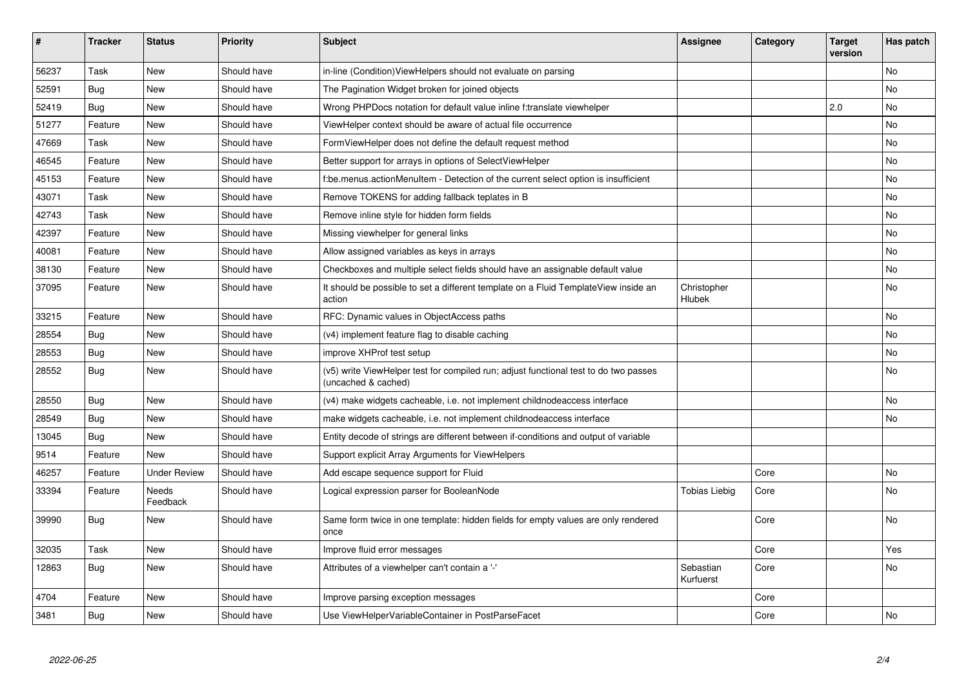| #     | <b>Tracker</b> | <b>Status</b>       | <b>Priority</b> | <b>Subject</b>                                                                                              | <b>Assignee</b>        | Category | <b>Target</b><br>version | Has patch |
|-------|----------------|---------------------|-----------------|-------------------------------------------------------------------------------------------------------------|------------------------|----------|--------------------------|-----------|
| 56237 | Task           | <b>New</b>          | Should have     | in-line (Condition) ViewHelpers should not evaluate on parsing                                              |                        |          |                          | <b>No</b> |
| 52591 | Bug            | New                 | Should have     | The Pagination Widget broken for joined objects                                                             |                        |          |                          | No        |
| 52419 | Bug            | New                 | Should have     | Wrong PHPDocs notation for default value inline f:translate viewhelper                                      |                        |          | 2.0                      | No        |
| 51277 | Feature        | New                 | Should have     | ViewHelper context should be aware of actual file occurrence                                                |                        |          |                          | <b>No</b> |
| 47669 | Task           | New                 | Should have     | FormViewHelper does not define the default request method                                                   |                        |          |                          | No        |
| 46545 | Feature        | New                 | Should have     | Better support for arrays in options of SelectViewHelper                                                    |                        |          |                          | No        |
| 45153 | Feature        | <b>New</b>          | Should have     | f:be.menus.actionMenuItem - Detection of the current select option is insufficient                          |                        |          |                          | <b>No</b> |
| 43071 | Task           | <b>New</b>          | Should have     | Remove TOKENS for adding fallback teplates in B                                                             |                        |          |                          | No        |
| 42743 | Task           | <b>New</b>          | Should have     | Remove inline style for hidden form fields                                                                  |                        |          |                          | <b>No</b> |
| 42397 | Feature        | New                 | Should have     | Missing viewhelper for general links                                                                        |                        |          |                          | No        |
| 40081 | Feature        | <b>New</b>          | Should have     | Allow assigned variables as keys in arrays                                                                  |                        |          |                          | <b>No</b> |
| 38130 | Feature        | New                 | Should have     | Checkboxes and multiple select fields should have an assignable default value                               |                        |          |                          | No        |
| 37095 | Feature        | New                 | Should have     | It should be possible to set a different template on a Fluid TemplateView inside an<br>action               | Christopher<br>Hlubek  |          |                          | <b>No</b> |
| 33215 | Feature        | <b>New</b>          | Should have     | RFC: Dynamic values in ObjectAccess paths                                                                   |                        |          |                          | <b>No</b> |
| 28554 | Bug            | New                 | Should have     | (v4) implement feature flag to disable caching                                                              |                        |          |                          | No        |
| 28553 | Bug            | New                 | Should have     | improve XHProf test setup                                                                                   |                        |          |                          | No        |
| 28552 | <b>Bug</b>     | New                 | Should have     | (v5) write ViewHelper test for compiled run; adjust functional test to do two passes<br>(uncached & cached) |                        |          |                          | <b>No</b> |
| 28550 | Bug            | New                 | Should have     | (v4) make widgets cacheable, i.e. not implement childnodeaccess interface                                   |                        |          |                          | <b>No</b> |
| 28549 | Bug            | New                 | Should have     | make widgets cacheable, i.e. not implement childnodeaccess interface                                        |                        |          |                          | No        |
| 13045 | Bug            | New                 | Should have     | Entity decode of strings are different between if-conditions and output of variable                         |                        |          |                          |           |
| 9514  | Feature        | New                 | Should have     | Support explicit Array Arguments for ViewHelpers                                                            |                        |          |                          |           |
| 46257 | Feature        | <b>Under Review</b> | Should have     | Add escape sequence support for Fluid                                                                       |                        | Core     |                          | <b>No</b> |
| 33394 | Feature        | Needs<br>Feedback   | Should have     | Logical expression parser for BooleanNode                                                                   | Tobias Liebig          | Core     |                          | No        |
| 39990 | Bug            | New                 | Should have     | Same form twice in one template: hidden fields for empty values are only rendered<br>once                   |                        | Core     |                          | No        |
| 32035 | Task           | <b>New</b>          | Should have     | Improve fluid error messages                                                                                |                        | Core     |                          | Yes       |
| 12863 | <b>Bug</b>     | New                 | Should have     | Attributes of a viewhelper can't contain a '-'                                                              | Sebastian<br>Kurfuerst | Core     |                          | No        |
| 4704  | Feature        | New                 | Should have     | Improve parsing exception messages                                                                          |                        | Core     |                          |           |
| 3481  | Bug            | <b>New</b>          | Should have     | Use ViewHelperVariableContainer in PostParseFacet                                                           |                        | Core     |                          | <b>No</b> |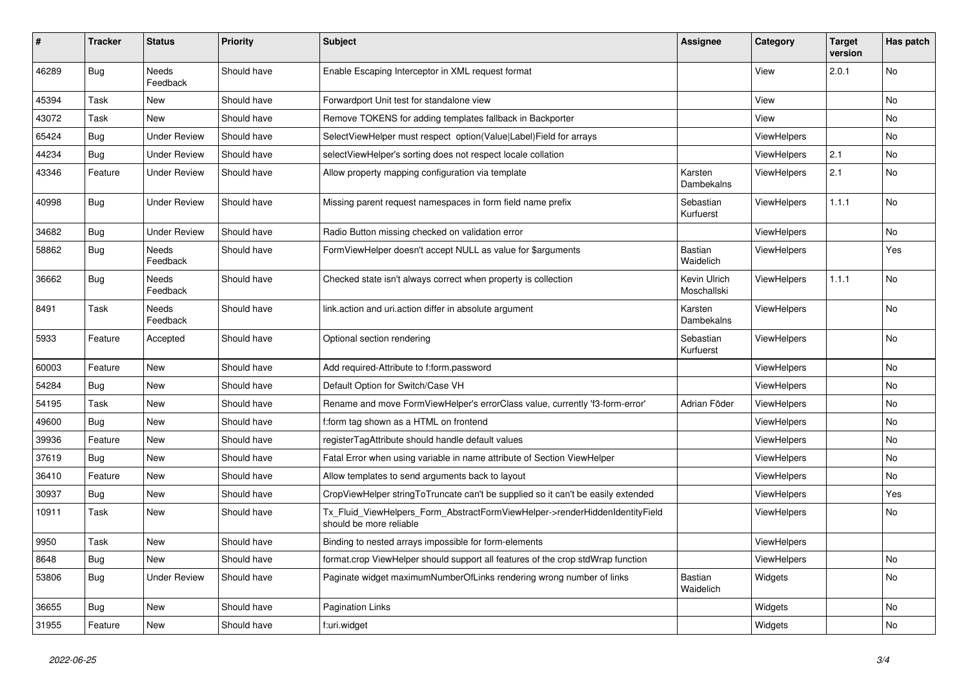| #     | <b>Tracker</b> | <b>Status</b>       | <b>Priority</b> | <b>Subject</b>                                                                                         | Assignee                    | Category           | Target<br>version | Has patch |
|-------|----------------|---------------------|-----------------|--------------------------------------------------------------------------------------------------------|-----------------------------|--------------------|-------------------|-----------|
| 46289 | <b>Bug</b>     | Needs<br>Feedback   | Should have     | Enable Escaping Interceptor in XML request format                                                      |                             | View               | 2.0.1             | No        |
| 45394 | Task           | New                 | Should have     | Forwardport Unit test for standalone view                                                              |                             | View               |                   | No        |
| 43072 | Task           | <b>New</b>          | Should have     | Remove TOKENS for adding templates fallback in Backporter                                              |                             | View               |                   | No.       |
| 65424 | Bug            | <b>Under Review</b> | Should have     | SelectViewHelper must respect option(Value Label)Field for arrays                                      |                             | <b>ViewHelpers</b> |                   | No        |
| 44234 | Bug            | <b>Under Review</b> | Should have     | selectViewHelper's sorting does not respect locale collation                                           |                             | <b>ViewHelpers</b> | 2.1               | No        |
| 43346 | Feature        | <b>Under Review</b> | Should have     | Allow property mapping configuration via template                                                      | Karsten<br>Dambekalns       | <b>ViewHelpers</b> | 2.1               | No        |
| 40998 | Bug            | Under Review        | Should have     | Missing parent request namespaces in form field name prefix                                            | Sebastian<br>Kurfuerst      | ViewHelpers        | 1.1.1             | No        |
| 34682 | Bug            | <b>Under Review</b> | Should have     | Radio Button missing checked on validation error                                                       |                             | <b>ViewHelpers</b> |                   | No        |
| 58862 | Bug            | Needs<br>Feedback   | Should have     | FormViewHelper doesn't accept NULL as value for \$arguments                                            | Bastian<br>Waidelich        | <b>ViewHelpers</b> |                   | Yes       |
| 36662 | Bug            | Needs<br>Feedback   | Should have     | Checked state isn't always correct when property is collection                                         | Kevin Ulrich<br>Moschallski | ViewHelpers        | 1.1.1             | No        |
| 8491  | Task           | Needs<br>Feedback   | Should have     | link action and uri action differ in absolute argument                                                 | Karsten<br>Dambekalns       | <b>ViewHelpers</b> |                   | <b>No</b> |
| 5933  | Feature        | Accepted            | Should have     | Optional section rendering                                                                             | Sebastian<br>Kurfuerst      | <b>ViewHelpers</b> |                   | <b>No</b> |
| 60003 | Feature        | New                 | Should have     | Add required-Attribute to f:form.password                                                              |                             | <b>ViewHelpers</b> |                   | No        |
| 54284 | Bug            | New                 | Should have     | Default Option for Switch/Case VH                                                                      |                             | <b>ViewHelpers</b> |                   | No        |
| 54195 | Task           | New                 | Should have     | Rename and move FormViewHelper's errorClass value, currently 'f3-form-error'                           | Adrian Föder                | <b>ViewHelpers</b> |                   | No.       |
| 49600 | Bug            | New                 | Should have     | f:form tag shown as a HTML on frontend                                                                 |                             | <b>ViewHelpers</b> |                   | No        |
| 39936 | Feature        | New                 | Should have     | registerTagAttribute should handle default values                                                      |                             | <b>ViewHelpers</b> |                   | No        |
| 37619 | <b>Bug</b>     | New                 | Should have     | Fatal Error when using variable in name attribute of Section ViewHelper                                |                             | <b>ViewHelpers</b> |                   | No        |
| 36410 | Feature        | New                 | Should have     | Allow templates to send arguments back to layout                                                       |                             | <b>ViewHelpers</b> |                   | No        |
| 30937 | <b>Bug</b>     | New                 | Should have     | CropViewHelper stringToTruncate can't be supplied so it can't be easily extended                       |                             | <b>ViewHelpers</b> |                   | Yes       |
| 10911 | Task           | New                 | Should have     | Tx Fluid ViewHelpers Form AbstractFormViewHelper->renderHiddenIdentityField<br>should be more reliable |                             | <b>ViewHelpers</b> |                   | No        |
| 9950  | Task           | New                 | Should have     | Binding to nested arrays impossible for form-elements                                                  |                             | ViewHelpers        |                   |           |
| 8648  | Bug            | <b>New</b>          | Should have     | format.crop ViewHelper should support all features of the crop stdWrap function                        |                             | ViewHelpers        |                   | No        |
| 53806 | Bug            | <b>Under Review</b> | Should have     | Paginate widget maximumNumberOfLinks rendering wrong number of links                                   | <b>Bastian</b><br>Waidelich | Widgets            |                   | No        |
| 36655 | Bug            | <b>New</b>          | Should have     | <b>Pagination Links</b>                                                                                |                             | Widgets            |                   | No        |
| 31955 | Feature        | New                 | Should have     | f:uri.widget                                                                                           |                             | Widgets            |                   | No        |